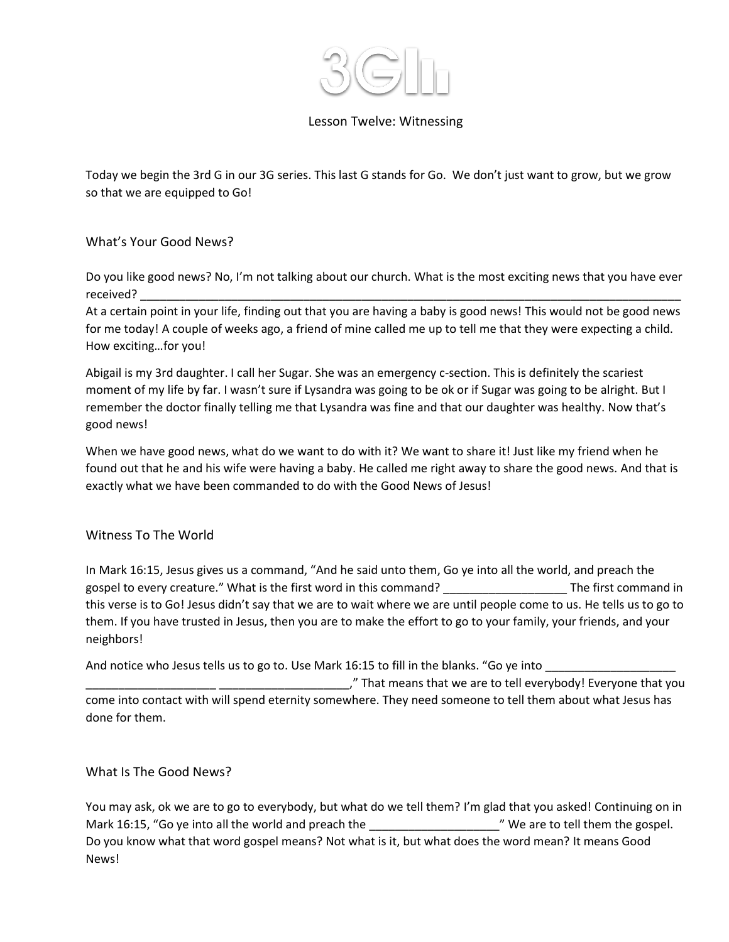

## Lesson Twelve: Witnessing

Today we begin the 3rd G in our 3G series. This last G stands for Go. We don't just want to grow, but we grow so that we are equipped to Go!

## What's Your Good News?

Do you like good news? No, I'm not talking about our church. What is the most exciting news that you have ever received? \_\_\_\_\_\_\_\_\_\_\_\_\_\_\_\_\_\_\_\_\_\_\_\_\_\_\_\_\_\_\_\_\_\_\_\_\_\_\_\_\_\_\_\_\_\_\_\_\_\_\_\_\_\_\_\_\_\_\_\_\_\_\_\_\_\_\_\_\_\_\_\_\_\_\_\_\_\_\_\_\_\_\_

At a certain point in your life, finding out that you are having a baby is good news! This would not be good news for me today! A couple of weeks ago, a friend of mine called me up to tell me that they were expecting a child. How exciting…for you!

Abigail is my 3rd daughter. I call her Sugar. She was an emergency c-section. This is definitely the scariest moment of my life by far. I wasn't sure if Lysandra was going to be ok or if Sugar was going to be alright. But I remember the doctor finally telling me that Lysandra was fine and that our daughter was healthy. Now that's good news!

When we have good news, what do we want to do with it? We want to share it! Just like my friend when he found out that he and his wife were having a baby. He called me right away to share the good news. And that is exactly what we have been commanded to do with the Good News of Jesus!

## Witness To The World

In Mark 16:15, Jesus gives us a command, "And he said unto them, Go ye into all the world, and preach the gospel to every creature." What is the first word in this command? The first command in this verse is to Go! Jesus didn't say that we are to wait where we are until people come to us. He tells us to go to them. If you have trusted in Jesus, then you are to make the effort to go to your family, your friends, and your neighbors!

And notice who Jesus tells us to go to. Use Mark 16:15 to fill in the blanks. "Go ye into

\_\_\_\_\_\_\_\_\_\_\_\_\_\_\_\_\_\_\_\_ \_\_\_\_\_\_\_\_\_\_\_\_\_\_\_\_\_\_\_\_," That means that we are to tell everybody! Everyone that you come into contact with will spend eternity somewhere. They need someone to tell them about what Jesus has done for them.

What Is The Good News?

You may ask, ok we are to go to everybody, but what do we tell them? I'm glad that you asked! Continuing on in Mark 16:15, "Go ye into all the world and preach the \_\_\_\_\_\_\_\_\_\_\_\_\_\_\_\_\_\_\_\_\_\_\_\_\_\_\_\_" We are to tell them the gospel. Do you know what that word gospel means? Not what is it, but what does the word mean? It means Good News!